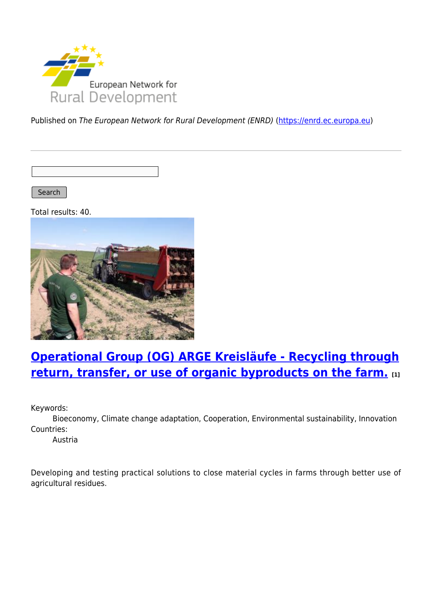

Published on The European Network for Rural Development (ENRD) [\(https://enrd.ec.europa.eu](https://enrd.ec.europa.eu))

Search |

Total results: 40.



# **[Operational Group \(OG\) ARGE Kreisläufe - Recycling through](https://enrd.ec.europa.eu/projects-practice/operational-group-og-arge-kreislaufe-recycling-through-return-transfer-or-use_en) [return, transfer, or use of organic byproducts on the farm.](https://enrd.ec.europa.eu/projects-practice/operational-group-og-arge-kreislaufe-recycling-through-return-transfer-or-use_en) [1]**

Keywords:

Bioeconomy, Climate change adaptation, Cooperation, Environmental sustainability, Innovation Countries:

Austria

Developing and testing practical solutions to close material cycles in farms through better use of agricultural residues.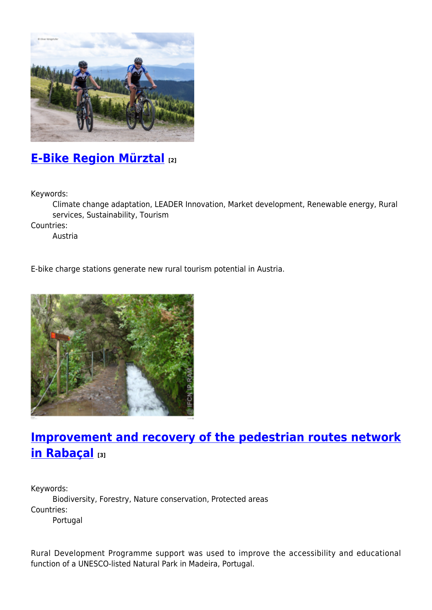

## **[E-Bike Region Mürztal](https://enrd.ec.europa.eu/projects-practice/e-bike-region-murztal_en) [2]**

Keywords:

Climate change adaptation, LEADER Innovation, Market development, Renewable energy, Rural services, Sustainability, Tourism

Countries:

Austria

E-bike charge stations generate new rural tourism potential in Austria.



## **[Improvement and recovery of the pedestrian routes network](https://enrd.ec.europa.eu/projects-practice/improvement-and-recovery-pedestrian-routes-network-rabacal_en) [in Rabaçal](https://enrd.ec.europa.eu/projects-practice/improvement-and-recovery-pedestrian-routes-network-rabacal_en) [3]**

Keywords: Biodiversity, Forestry, Nature conservation, Protected areas Countries: Portugal

Rural Development Programme support was used to improve the accessibility and educational function of a UNESCO-listed Natural Park in Madeira, Portugal.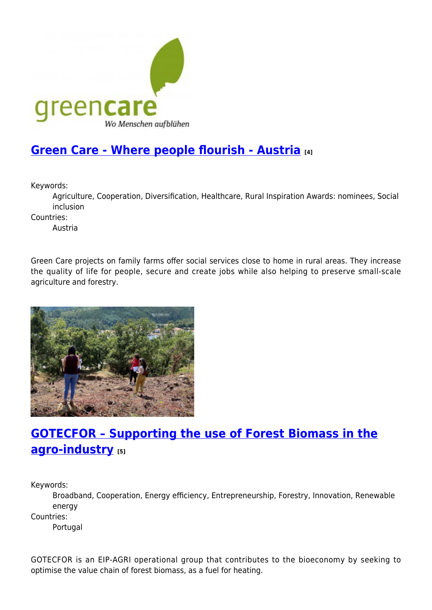

## **[Green Care - Where people flourish - Austria](https://enrd.ec.europa.eu/projects-practice/green-care-where-people-flourish-austria_en) [4]**

Keywords:

Agriculture, Cooperation, Diversification, Healthcare, Rural Inspiration Awards: nominees, Social inclusion

Countries:

Austria

Green Care projects on family farms offer social services close to home in rural areas. They increase the quality of life for people, secure and create jobs while also helping to preserve small-scale agriculture and forestry.



# **[GOTECFOR – Supporting the use of Forest Biomass in the](https://enrd.ec.europa.eu/projects-practice/gotecfor-supporting-use-forest-biomass-agro-industry_en) [agro-industry](https://enrd.ec.europa.eu/projects-practice/gotecfor-supporting-use-forest-biomass-agro-industry_en) [5]**

Keywords:

Broadband, Cooperation, Energy efficiency, Entrepreneurship, Forestry, Innovation, Renewable energy

Countries:

Portugal

GOTECFOR is an EIP-AGRI operational group that contributes to the bioeconomy by seeking to optimise the value chain of forest biomass, as a fuel for heating.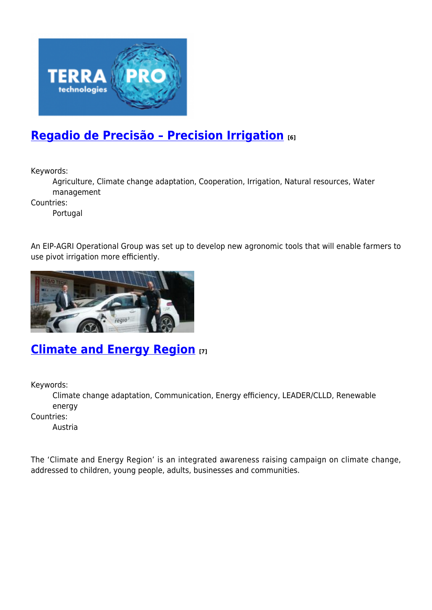

# **[Regadio de Precisão – Precision Irrigation](https://enrd.ec.europa.eu/projects-practice/regadio-de-precisao-precision-irrigation_en) [6]**

Keywords:

Agriculture, Climate change adaptation, Cooperation, Irrigation, Natural resources, Water management

Countries:

Portugal

An EIP-AGRI Operational Group was set up to develop new agronomic tools that will enable farmers to use pivot irrigation more efficiently.



### **[Climate and Energy Region](https://enrd.ec.europa.eu/projects-practice/climate-and-energy-region_en) [7]**

Keywords:

Climate change adaptation, Communication, Energy efficiency, LEADER/CLLD, Renewable energy

Countries:

Austria

The 'Climate and Energy Region' is an integrated awareness raising campaign on climate change, addressed to children, young people, adults, businesses and communities.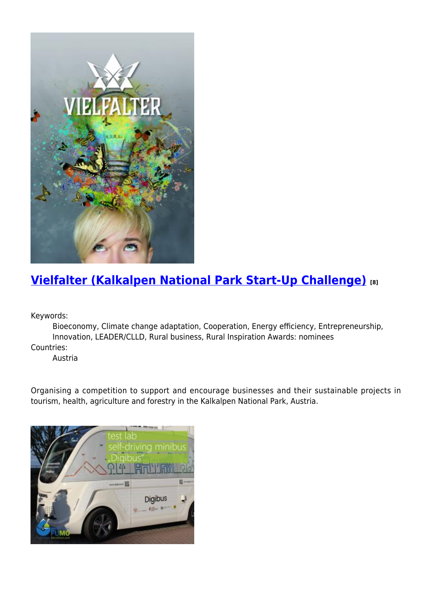

# **[Vielfalter \(Kalkalpen National Park Start-Up Challenge\)](https://enrd.ec.europa.eu/projects-practice/vielfalter-kalkalpen-national-park-start-challenge_en) [8]**

Keywords:

Bioeconomy, Climate change adaptation, Cooperation, Energy efficiency, Entrepreneurship, Innovation, LEADER/CLLD, Rural business, Rural Inspiration Awards: nominees Countries:

Austria

Organising a competition to support and encourage businesses and their sustainable projects in tourism, health, agriculture and forestry in the Kalkalpen National Park, Austria.

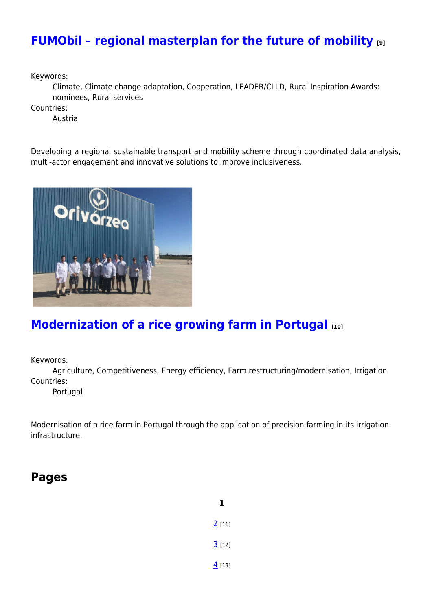## **[FUMObil – regional masterplan for the future of mobility](https://enrd.ec.europa.eu/projects-practice/fumobil-regional-masterplan-future-mobility_en) [9]**

Keywords:

Climate, Climate change adaptation, Cooperation, LEADER/CLLD, Rural Inspiration Awards: nominees, Rural services

Countries:

Austria

Developing a regional sustainable transport and mobility scheme through coordinated data analysis, multi-actor engagement and innovative solutions to improve inclusiveness.



### **[Modernization of a rice growing farm in Portugal](https://enrd.ec.europa.eu/projects-practice/modernization-rice-growing-farm-portugal_en) [10]**

Keywords:

Agriculture, Competitiveness, Energy efficiency, Farm restructuring/modernisation, Irrigation Countries:

Portugal

Modernisation of a rice farm in Portugal through the application of precision farming in its irrigation infrastructure.

#### **Pages**

**1**  $2$  [11]  $3$  [12]  $4$  [13]